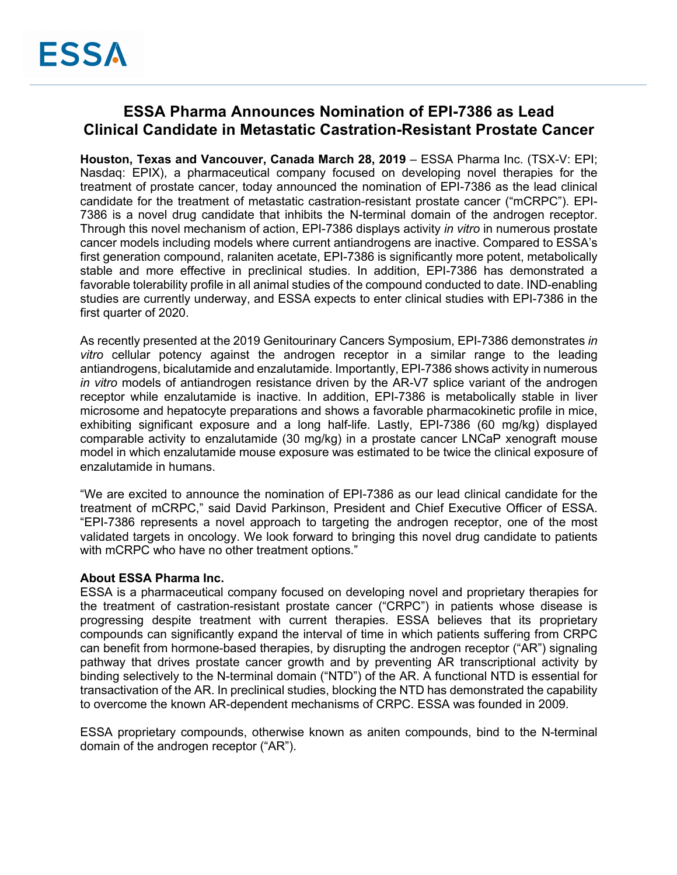# **ESSA Pharma Announces Nomination of EPI-7386 as Lead Clinical Candidate in Metastatic Castration-Resistant Prostate Cancer**

**Houston, Texas and Vancouver, Canada March 28, 2019** – ESSA Pharma Inc. (TSX-V: EPI; Nasdaq: EPIX), a pharmaceutical company focused on developing novel therapies for the treatment of prostate cancer, today announced the nomination of EPI-7386 as the lead clinical candidate for the treatment of metastatic castration-resistant prostate cancer ("mCRPC"). EPI-7386 is a novel drug candidate that inhibits the N-terminal domain of the androgen receptor. Through this novel mechanism of action, EPI-7386 displays activity *in vitro* in numerous prostate cancer models including models where current antiandrogens are inactive. Compared to ESSA's first generation compound, ralaniten acetate, EPI-7386 is significantly more potent, metabolically stable and more effective in preclinical studies. In addition, EPI-7386 has demonstrated a favorable tolerability profile in all animal studies of the compound conducted to date. IND-enabling studies are currently underway, and ESSA expects to enter clinical studies with EPI-7386 in the first quarter of 2020.

As recently presented at the 2019 Genitourinary Cancers Symposium, EPI-7386 demonstrates *in vitro* cellular potency against the androgen receptor in a similar range to the leading antiandrogens, bicalutamide and enzalutamide. Importantly, EPI-7386 shows activity in numerous *in vitro* models of antiandrogen resistance driven by the AR-V7 splice variant of the androgen receptor while enzalutamide is inactive. In addition, EPI-7386 is metabolically stable in liver microsome and hepatocyte preparations and shows a favorable pharmacokinetic profile in mice, exhibiting significant exposure and a long half-life. Lastly, EPI-7386 (60 mg/kg) displayed comparable activity to enzalutamide (30 mg/kg) in a prostate cancer LNCaP xenograft mouse model in which enzalutamide mouse exposure was estimated to be twice the clinical exposure of enzalutamide in humans.

"We are excited to announce the nomination of EPI-7386 as our lead clinical candidate for the treatment of mCRPC," said David Parkinson, President and Chief Executive Officer of ESSA. "EPI-7386 represents a novel approach to targeting the androgen receptor, one of the most validated targets in oncology. We look forward to bringing this novel drug candidate to patients with mCRPC who have no other treatment options."

# **About ESSA Pharma Inc.**

ESSA is a pharmaceutical company focused on developing novel and proprietary therapies for the treatment of castration-resistant prostate cancer ("CRPC") in patients whose disease is progressing despite treatment with current therapies. ESSA believes that its proprietary compounds can significantly expand the interval of time in which patients suffering from CRPC can benefit from hormone-based therapies, by disrupting the androgen receptor ("AR") signaling pathway that drives prostate cancer growth and by preventing AR transcriptional activity by binding selectively to the N-terminal domain ("NTD") of the AR. A functional NTD is essential for transactivation of the AR. In preclinical studies, blocking the NTD has demonstrated the capability to overcome the known AR-dependent mechanisms of CRPC. ESSA was founded in 2009.

ESSA proprietary compounds, otherwise known as aniten compounds, bind to the N-terminal domain of the androgen receptor ("AR").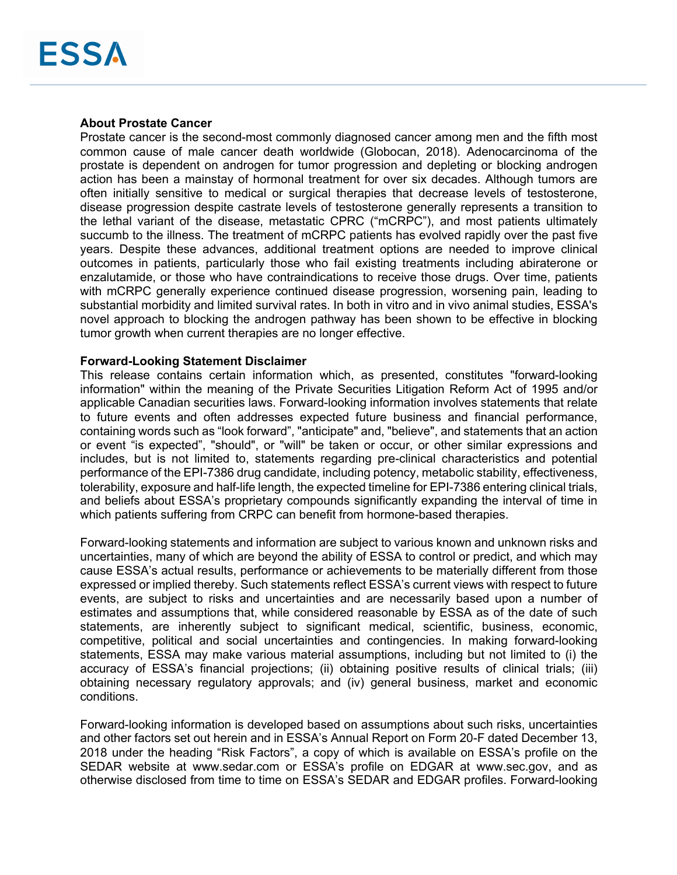# **About Prostate Cancer**

Prostate cancer is the second-most commonly diagnosed cancer among men and the fifth most common cause of male cancer death worldwide (Globocan, 2018). Adenocarcinoma of the prostate is dependent on androgen for tumor progression and depleting or blocking androgen action has been a mainstay of hormonal treatment for over six decades. Although tumors are often initially sensitive to medical or surgical therapies that decrease levels of testosterone, disease progression despite castrate levels of testosterone generally represents a transition to the lethal variant of the disease, metastatic CPRC ("mCRPC"), and most patients ultimately succumb to the illness. The treatment of mCRPC patients has evolved rapidly over the past five years. Despite these advances, additional treatment options are needed to improve clinical outcomes in patients, particularly those who fail existing treatments including abiraterone or enzalutamide, or those who have contraindications to receive those drugs. Over time, patients with mCRPC generally experience continued disease progression, worsening pain, leading to substantial morbidity and limited survival rates. In both in vitro and in vivo animal studies, ESSA's novel approach to blocking the androgen pathway has been shown to be effective in blocking tumor growth when current therapies are no longer effective.

### **Forward-Looking Statement Disclaimer**

This release contains certain information which, as presented, constitutes "forward-looking information" within the meaning of the Private Securities Litigation Reform Act of 1995 and/or applicable Canadian securities laws. Forward-looking information involves statements that relate to future events and often addresses expected future business and financial performance, containing words such as "look forward", "anticipate" and, "believe", and statements that an action or event "is expected", "should", or "will" be taken or occur, or other similar expressions and includes, but is not limited to, statements regarding pre-clinical characteristics and potential performance of the EPI-7386 drug candidate, including potency, metabolic stability, effectiveness, tolerability, exposure and half-life length, the expected timeline for EPI-7386 entering clinical trials, and beliefs about ESSA's proprietary compounds significantly expanding the interval of time in which patients suffering from CRPC can benefit from hormone-based therapies.

Forward-looking statements and information are subject to various known and unknown risks and uncertainties, many of which are beyond the ability of ESSA to control or predict, and which may cause ESSA's actual results, performance or achievements to be materially different from those expressed or implied thereby. Such statements reflect ESSA's current views with respect to future events, are subject to risks and uncertainties and are necessarily based upon a number of estimates and assumptions that, while considered reasonable by ESSA as of the date of such statements, are inherently subject to significant medical, scientific, business, economic, competitive, political and social uncertainties and contingencies. In making forward-looking statements, ESSA may make various material assumptions, including but not limited to (i) the accuracy of ESSA's financial projections; (ii) obtaining positive results of clinical trials; (iii) obtaining necessary regulatory approvals; and (iv) general business, market and economic conditions.

Forward-looking information is developed based on assumptions about such risks, uncertainties and other factors set out herein and in ESSA's Annual Report on Form 20-F dated December 13, 2018 under the heading "Risk Factors", a copy of which is available on ESSA's profile on the SEDAR website at www.sedar.com or ESSA's profile on EDGAR at www.sec.gov, and as otherwise disclosed from time to time on ESSA's SEDAR and EDGAR profiles. Forward-looking